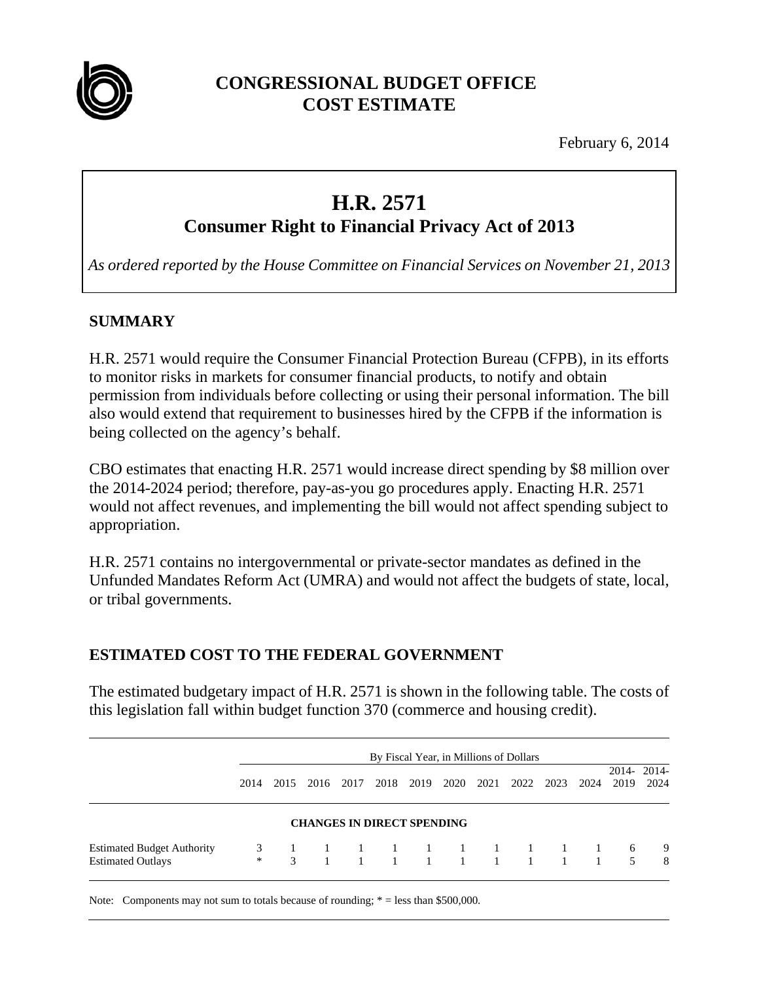

## **CONGRESSIONAL BUDGET OFFICE COST ESTIMATE**

February 6, 2014

# **H.R. 2571**

**Consumer Right to Financial Privacy Act of 2013** 

*As ordered reported by the House Committee on Financial Services on November 21, 2013*

## **SUMMARY**

H.R. 2571 would require the Consumer Financial Protection Bureau (CFPB), in its efforts to monitor risks in markets for consumer financial products, to notify and obtain permission from individuals before collecting or using their personal information. The bill also would extend that requirement to businesses hired by the CFPB if the information is being collected on the agency's behalf.

CBO estimates that enacting H.R. 2571 would increase direct spending by \$8 million over the 2014-2024 period; therefore, pay-as-you go procedures apply. Enacting H.R. 2571 would not affect revenues, and implementing the bill would not affect spending subject to appropriation.

H.R. 2571 contains no intergovernmental or private-sector mandates as defined in the Unfunded Mandates Reform Act (UMRA) and would not affect the budgets of state, local, or tribal governments.

## **ESTIMATED COST TO THE FEDERAL GOVERNMENT**

The estimated budgetary impact of H.R. 2571 is shown in the following table. The costs of this legislation fall within budget function 370 (commerce and housing credit).

|                                                               |      |      |                                   |      | By Fiscal Year, in Millions of Dollars |      |      |           |      |                  |                    |
|---------------------------------------------------------------|------|------|-----------------------------------|------|----------------------------------------|------|------|-----------|------|------------------|--------------------|
|                                                               | 2014 | 2015 | 2016 2017                         | 2018 | 2019                                   | 2020 | 2021 | 2022 2023 | 2024 | 2019             | 2014-2014-<br>2024 |
|                                                               |      |      | <b>CHANGES IN DIRECT SPENDING</b> |      |                                        |      |      |           |      |                  |                    |
| <b>Estimated Budget Authority</b><br><b>Estimated Outlays</b> |      |      |                                   |      |                                        |      |      |           |      | 6<br>$5^{\circ}$ | 9<br>8             |

Note: Components may not sum to totals because of rounding;  $* =$  less than \$500,000.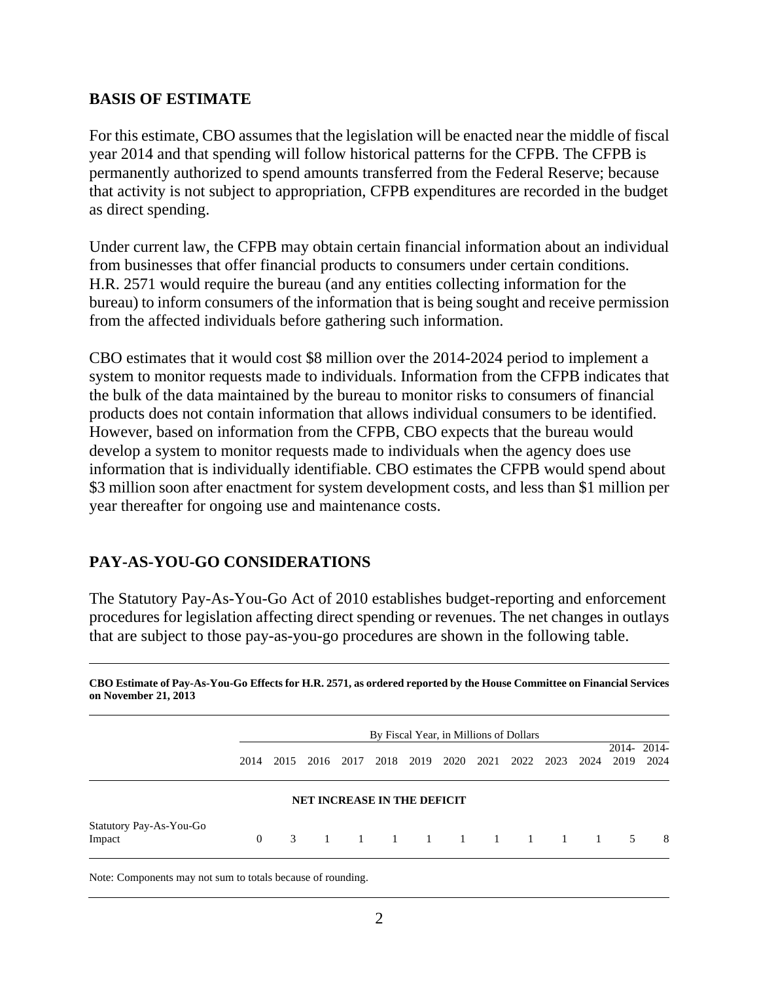#### **BASIS OF ESTIMATE**

For this estimate, CBO assumes that the legislation will be enacted near the middle of fiscal year 2014 and that spending will follow historical patterns for the CFPB. The CFPB is permanently authorized to spend amounts transferred from the Federal Reserve; because that activity is not subject to appropriation, CFPB expenditures are recorded in the budget as direct spending.

Under current law, the CFPB may obtain certain financial information about an individual from businesses that offer financial products to consumers under certain conditions. H.R. 2571 would require the bureau (and any entities collecting information for the bureau) to inform consumers of the information that is being sought and receive permission from the affected individuals before gathering such information.

CBO estimates that it would cost \$8 million over the 2014-2024 period to implement a system to monitor requests made to individuals. Information from the CFPB indicates that the bulk of the data maintained by the bureau to monitor risks to consumers of financial products does not contain information that allows individual consumers to be identified. However, based on information from the CFPB, CBO expects that the bureau would develop a system to monitor requests made to individuals when the agency does use information that is individually identifiable. CBO estimates the CFPB would spend about \$3 million soon after enactment for system development costs, and less than \$1 million per year thereafter for ongoing use and maintenance costs.

## **PAY-AS-YOU-GO CONSIDERATIONS**

The Statutory Pay-As-You-Go Act of 2010 establishes budget-reporting and enforcement procedures for legislation affecting direct spending or revenues. The net changes in outlays that are subject to those pay-as-you-go procedures are shown in the following table.

**CBO Estimate of Pay-As-You-Go Effects for H.R. 2571, as ordered reported by the House Committee on Financial Services on November 21, 2013** 

|                                   |          | By Fiscal Year, in Millions of Dollars |                                    |           |      |      |      |      |                   |           |      |      |                    |
|-----------------------------------|----------|----------------------------------------|------------------------------------|-----------|------|------|------|------|-------------------|-----------|------|------|--------------------|
|                                   | 2014     | 2015                                   |                                    | 2016 2017 | 2018 | 2019 | 2020 | 2021 |                   | 2022 2023 | 2024 | 2019 | 2014-2014-<br>2024 |
|                                   |          |                                        | <b>NET INCREASE IN THE DEFICIT</b> |           |      |      |      |      |                   |           |      |      |                    |
| Statutory Pay-As-You-Go<br>Impact | $\Omega$ | 3                                      |                                    |           |      |      |      |      | 1 1 1 1 1 1 1 1 1 |           |      | 5    | -8                 |

Note: Components may not sum to totals because of rounding.